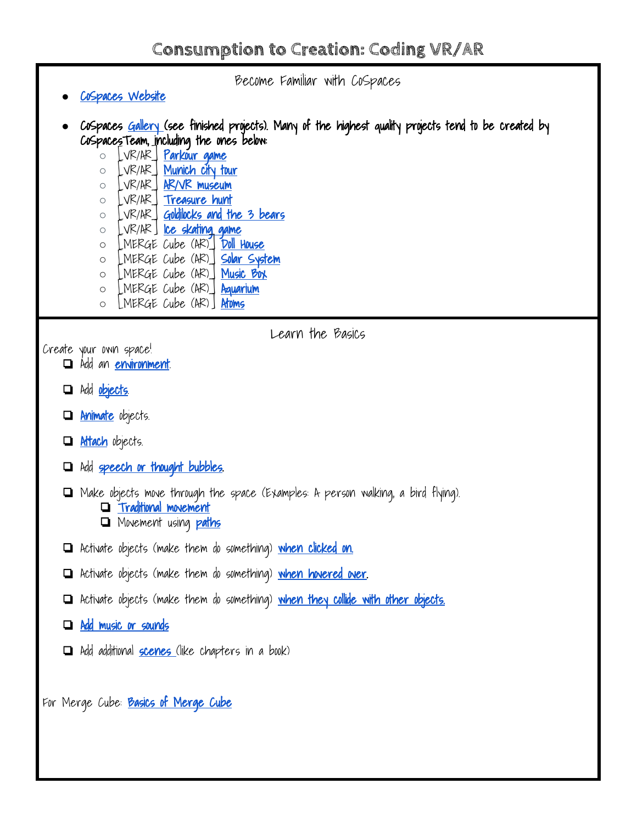Become Familiar with CoSpaces

Learn the Basics

- **●** [CoSpaces Website](https://cospaces.io/edu/)
- **●** CoSpaces [Gallery \(](https://edu.cospaces.io/Universe)see finished projects). Many of the highest quality projects tend to be created by CoSpacesTeam, including the ones below:
	- [VR/AR] [Parkour game](https://cospac.es/e6DQ) ○ [VR/AR] [Munich city tour](https://edu.cospaces.io/Universe/Space/2fYQh8Q4YaOgSPnD7ApJwa) ○ [VR/AR] [AR/VR museum](https://edu.cospaces.io/Universe/Space/nXUZG6v3Y1mlXwl79ET8Lu) ○ [VR/AR] [Treasure hunt](https://edu.cospaces.io/Universe/Space/edu-GMbbXZ0LZ33Ca7aw9p3VjW) ○ [VR/AR] [Goldilocks and the 3 bears](https://edu.cospaces.io/Universe/Space/1SRiyG5brAQUHUOpNGeavp) o LVR/AR [Ice skating game](https://edu.cospaces.io/Universe/Space/sWnWDGFbskRYr77rAJru2u) **○** [MERGE Cube (AR)] [Doll House](https://edu.cospaces.io/Universe/Space/pbqLpZXbDJT1GbzK92rANJ) **○** [MERGE Cube (AR)] [Solar System](https://edu.cospaces.io/Universe/Space/QW9WDGAg8M4Qkkw4Xubl4e) **○** [MERGE Cube (AR)] [Music Box](https://edu.cospaces.io/Universe/Space/FmPSj5fwY0iZFGGZ95xen8) **○** [MERGE Cube (AR)] [Aquarium](https://edu.cospaces.io/Universe/Space/rWNxWTdkoj57xl8FHhjN7s)
		- **○** [MERGE Cube (AR)] [Atoms](https://edu.cospaces.io/Universe/Space/20v0T3mP4wGPPYg1SZR6cj)

Create your o[wn](https://www.youtube.com/watch?v=AM6ACZjLwCI&list=PLwVby6khJkrpf1ssQ31qIb0DxcOlAKTgY&index=38) space!

- **□** Add an **environment**
- ❏ Add [objects.](https://www.youtube.com/watch?v=p3ClYgaH89k)
- **la Animate** objects.
- **lattach** objects.
- ❏ Add [speech or thought bubbles.](https://www.youtube.com/watch?v=Mb--GOZSvkE&index=41&list=PLwVby6khJkrpf1ssQ31qIb0DxcOlAKTgY)
- ❏ Make objects move through the space (Examples: A person walking, a bird flying). ❏ [Traditional movement](https://drive.google.com/file/d/17SEpC2rltE1PuoAQdPgjl9Xjq7ugAgIr/view)
	- ❏ Movement using [paths](https://www.youtube.com/watch?v=RM-jDrfOGkU)
- ❏ Activate objects (make them do something) [when clicked on.](https://drive.google.com/file/d/1ehRr2uTILJ-Bvx3bk8uS88d4XK3i35pE/view)
- ❏ Activate objects (make them do something) [when hovered over](https://drive.google.com/file/d/1ehRr2uTILJ-Bvx3bk8uS88d4XK3i35pE/view).
- ❏ Activate objects (make them do something) [when they collide with other objects.](https://drive.google.com/file/d/1AbJiFCnTdKPMlsu3eb2P1rawBFLeh-ZW/view?usp=sharing)
- ❏ [Add music or sounds](https://www.youtube.com/watch?v=R-gkc_CcxLU&list=PLwVby6khJkrpf1ssQ31qIb0DxcOlAKTgY&t=0s&index=40)
- ❏ Add additional [scenes \(](https://www.youtube.com/watch?v=ZB2XmCngJQo&list=PLwVby6khJkrpf1ssQ31qIb0DxcOlAKTgY&index=24)like chapters in a book)

For Merge Cube: **[Basics of Merge Cube](https://www.youtube.com/watch?v=DrIl-epaWbI&index=2&list=PLwVby6khJkrpf1ssQ31qIb0DxcOlAKTgY)**